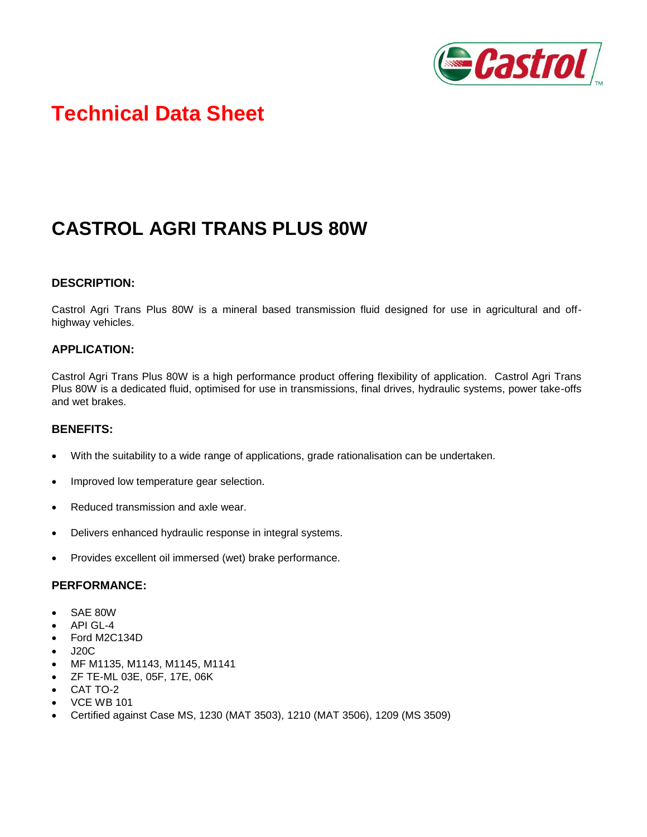

# **Technical Data Sheet**

# **CASTROL AGRI TRANS PLUS 80W**

## **DESCRIPTION:**

Castrol Agri Trans Plus 80W is a mineral based transmission fluid designed for use in agricultural and offhighway vehicles.

### **APPLICATION:**

Castrol Agri Trans Plus 80W is a high performance product offering flexibility of application. Castrol Agri Trans Plus 80W is a dedicated fluid, optimised for use in transmissions, final drives, hydraulic systems, power take-offs and wet brakes.

#### **BENEFITS:**

- With the suitability to a wide range of applications, grade rationalisation can be undertaken.
- Improved low temperature gear selection.
- Reduced transmission and axle wear.
- Delivers enhanced hydraulic response in integral systems.
- Provides excellent oil immersed (wet) brake performance.

#### **PERFORMANCE:**

- SAE 80W
- API GL-4
- Ford M2C134D
- J20C
- MF M1135, M1143, M1145, M1141
- ZF TE-ML 03E, 05F, 17E, 06K
- CAT TO-2
- VCE WB 101
- Certified against Case MS, 1230 (MAT 3503), 1210 (MAT 3506), 1209 (MS 3509)